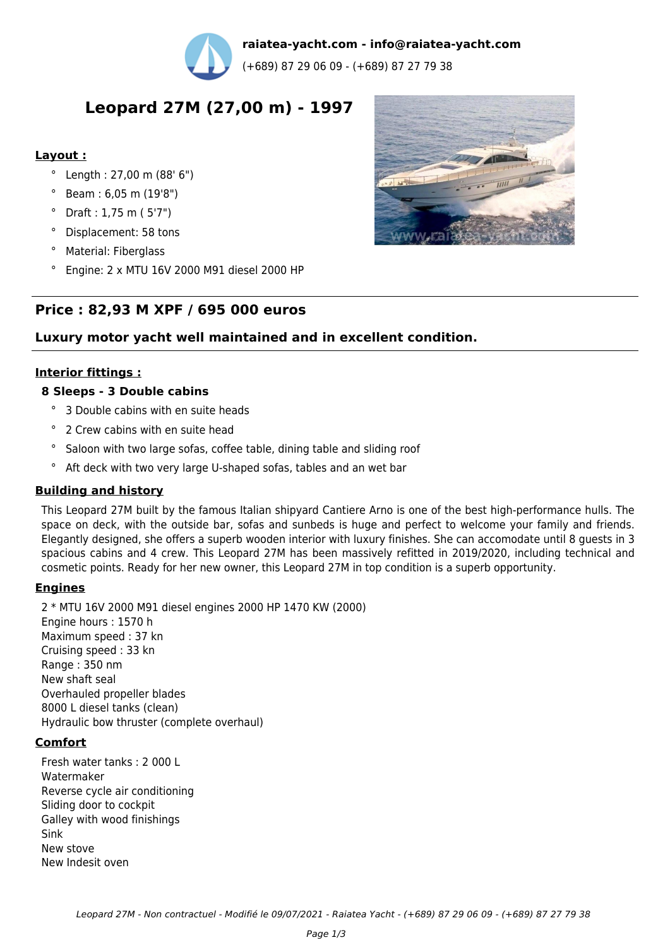

**raiatea-yacht.com - info@raiatea-yacht.com**

(+689) 87 29 06 09 - (+689) 87 27 79 38

# **Leopard 27M (27,00 m) - 1997**

## **Layout :**

- ° Length : 27,00 m (88' 6")
- ° Beam : 6,05 m (19'8")
- ° Draft : 1,75 m ( 5'7")
- ° Displacement: 58 tons
- ° Material: Fiberglass
- ° Engine: 2 x MTU 16V 2000 M91 diesel 2000 HP

# **Price : 82,93 M XPF / 695 000 euros**

# **Luxury motor yacht well maintained and in excellent condition.**

## **Interior fittings :**

## **8 Sleeps - 3 Double cabins**

- ° 3 Double cabins with en suite heads
- ° 2 Crew cabins with en suite head
- ° Saloon with two large sofas, coffee table, dining table and sliding roof
- ° Aft deck with two very large U-shaped sofas, tables and an wet bar

# **Building and history**

This Leopard 27M built by the famous Italian shipyard Cantiere Arno is one of the best high-performance hulls. The space on deck, with the outside bar, sofas and sunbeds is huge and perfect to welcome your family and friends. Elegantly designed, she offers a superb wooden interior with luxury finishes. She can accomodate until 8 guests in 3 spacious cabins and 4 crew. This Leopard 27M has been massively refitted in 2019/2020, including technical and cosmetic points. Ready for her new owner, this Leopard 27M in top condition is a superb opportunity.

#### **Engines**

2 \* MTU 16V 2000 M91 diesel engines 2000 HP 1470 KW (2000) Engine hours : 1570 h Maximum speed : 37 kn Cruising speed : 33 kn Range : 350 nm New shaft seal Overhauled propeller blades 8000 L diesel tanks (clean) Hydraulic bow thruster (complete overhaul)

#### **Comfort**

Fresh water tanks : 2 000 L Watermaker Reverse cycle air conditioning Sliding door to cockpit Galley with wood finishings Sink New stove New Indesit oven

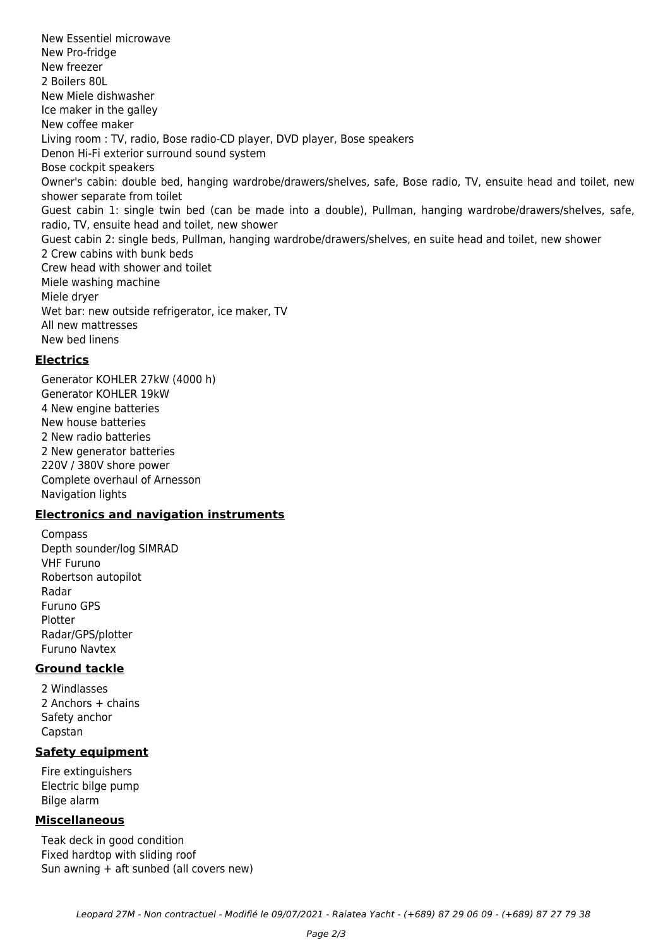New Essentiel microwave New Pro-fridge New freezer 2 Boilers 80L New Miele dishwasher Ice maker in the galley New coffee maker Living room : TV, radio, Bose radio-CD player, DVD player, Bose speakers Denon Hi-Fi exterior surround sound system Bose cockpit speakers Owner's cabin: double bed, hanging wardrobe/drawers/shelves, safe, Bose radio, TV, ensuite head and toilet, new shower separate from toilet Guest cabin 1: single twin bed (can be made into a double), Pullman, hanging wardrobe/drawers/shelves, safe, radio, TV, ensuite head and toilet, new shower Guest cabin 2: single beds, Pullman, hanging wardrobe/drawers/shelves, en suite head and toilet, new shower 2 Crew cabins with bunk beds Crew head with shower and toilet Miele washing machine Miele dryer Wet bar: new outside refrigerator, ice maker, TV All new mattresses New bed linens

#### **Electrics**

Generator KOHLER 27kW (4000 h) Generator KOHLER 19kW 4 New engine batteries New house batteries 2 New radio batteries 2 New generator batteries 220V / 380V shore power Complete overhaul of Arnesson Navigation lights

#### **Electronics and navigation instruments**

Compass Depth sounder/log SIMRAD VHF Furuno Robertson autopilot Radar Furuno GPS Plotter Radar/GPS/plotter Furuno Navtex

#### **Ground tackle**

2 Windlasses 2 Anchors + chains Safety anchor Capstan

#### **Safety equipment**

Fire extinguishers Electric bilge pump Bilge alarm

#### **Miscellaneous**

Teak deck in good condition Fixed hardtop with sliding roof Sun awning + aft sunbed (all covers new)